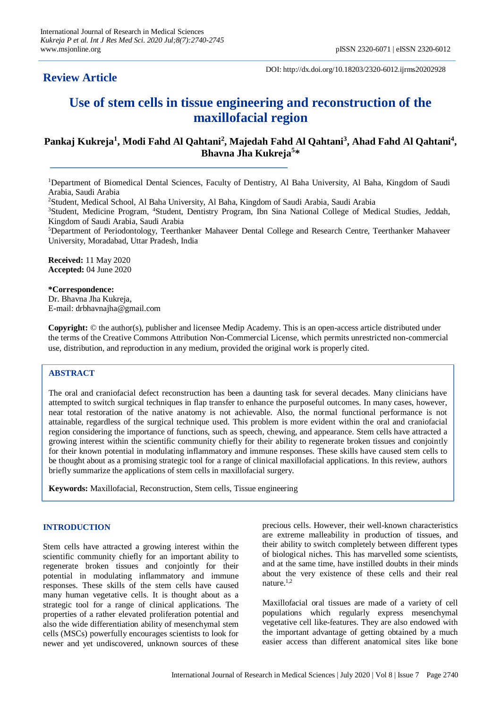# **Review Article**

DOI: http://dx.doi.org/10.18203/2320-6012.ijrms20202928

# **Use of stem cells in tissue engineering and reconstruction of the maxillofacial region**

# **Pankaj Kukreja<sup>1</sup> , Modi Fahd Al Qahtani<sup>2</sup> , Majedah Fahd Al Qahtani<sup>3</sup> , Ahad Fahd Al Qahtani<sup>4</sup> , Bhavna Jha Kukreja<sup>5</sup> \***

<sup>1</sup>Department of Biomedical Dental Sciences, Faculty of Dentistry, Al Baha University, Al Baha, Kingdom of Saudi Arabia, Saudi Arabia

<sup>2</sup>Student, Medical School, Al Baha University, Al Baha, Kingdom of Saudi Arabia, Saudi Arabia

<sup>3</sup>Student, Medicine Program, <sup>4</sup>Student, Dentistry Program, Ibn Sina National College of Medical Studies, Jeddah, Kingdom of Saudi Arabia, Saudi Arabia

<sup>5</sup>Department of Periodontology, Teerthanker Mahaveer Dental College and Research Centre, Teerthanker Mahaveer University, Moradabad, Uttar Pradesh, India

**Received:** 11 May 2020 **Accepted:** 04 June 2020

**\*Correspondence:** Dr. Bhavna Jha Kukreja, E-mail: drbhavnajha@gmail.com

**Copyright:** © the author(s), publisher and licensee Medip Academy. This is an open-access article distributed under the terms of the Creative Commons Attribution Non-Commercial License, which permits unrestricted non-commercial use, distribution, and reproduction in any medium, provided the original work is properly cited.

# **ABSTRACT**

The oral and craniofacial defect reconstruction has been a daunting task for several decades. Many clinicians have attempted to switch surgical techniques in flap transfer to enhance the purposeful outcomes. In many cases, however, near total restoration of the native anatomy is not achievable. Also, the normal functional performance is not attainable, regardless of the surgical technique used. This problem is more evident within the oral and craniofacial region considering the importance of functions, such as speech, chewing, and appearance. Stem cells have attracted a growing interest within the scientific community chiefly for their ability to regenerate broken tissues and conjointly for their known potential in modulating inflammatory and immune responses. These skills have caused stem cells to be thought about as a promising strategic tool for a range of clinical maxillofacial applications. In this review, authors briefly summarize the applications of stem cells in maxillofacial surgery.

**Keywords:** Maxillofacial, Reconstruction, Stem cells, Tissue engineering

#### **INTRODUCTION**

Stem cells have attracted a growing interest within the scientific community chiefly for an important ability to regenerate broken tissues and conjointly for their potential in modulating inflammatory and immune responses. These skills of the stem cells have caused many human vegetative cells. It is thought about as a strategic tool for a range of clinical applications. The properties of a rather elevated proliferation potential and also the wide differentiation ability of mesenchymal stem cells (MSCs) powerfully encourages scientists to look for newer and yet undiscovered, unknown sources of these precious cells. However, their well-known characteristics are extreme malleability in production of tissues, and their ability to switch completely between different types of biological niches. This has marvelled some scientists, and at the same time, have instilled doubts in their minds about the very existence of these cells and their real nature.1,2

Maxillofacial oral tissues are made of a variety of cell populations which regularly express mesenchymal vegetative cell like-features. They are also endowed with the important advantage of getting obtained by a much easier access than different anatomical sites like bone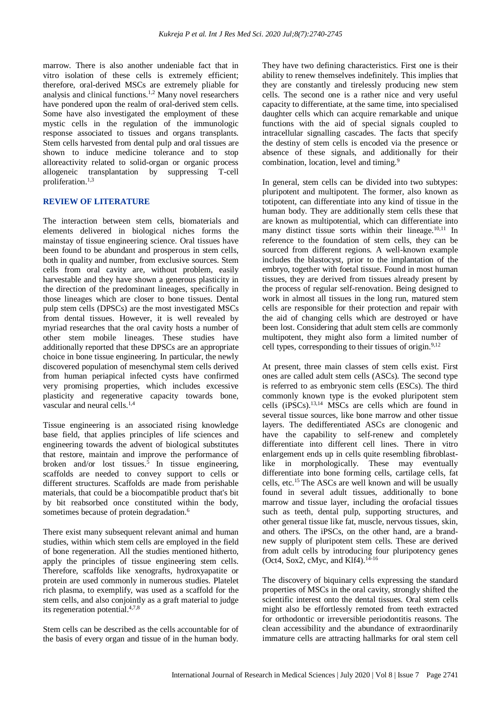marrow. There is also another undeniable fact that in vitro isolation of these cells is extremely efficient; therefore, oral-derived MSCs are extremely pliable for analysis and clinical functions.<sup>1,2</sup> Many novel researchers have pondered upon the realm of oral-derived stem cells. Some have also investigated the employment of these mystic cells in the regulation of the immunologic response associated to tissues and organs transplants. Stem cells harvested from dental pulp and oral tissues are shown to induce medicine tolerance and to stop alloreactivity related to solid-organ or organic process allogeneic transplantation by suppressing T-cell proliferation.1,3

# **REVIEW OF LITERATURE**

The interaction between stem cells, biomaterials and elements delivered in biological niches forms the mainstay of tissue engineering science. Oral tissues have been found to be abundant and prosperous in stem cells, both in quality and number, from exclusive sources. Stem cells from oral cavity are, without problem, easily harvestable and they have shown a generous plasticity in the direction of the predominant lineages, specifically in those lineages which are closer to bone tissues. Dental pulp stem cells (DPSCs) are the most investigated MSCs from dental tissues. However, it is well revealed by myriad researches that the oral cavity hosts a number of other stem mobile lineages. These studies have additionally reported that these DPSCs are an appropriate choice in bone tissue engineering. In particular, the newly discovered population of mesenchymal stem cells derived from human periapical infected cysts have confirmed very promising properties, which includes excessive plasticity and regenerative capacity towards bone, vascular and neural cells.<sup>1,4</sup>

Tissue engineering is an associated rising knowledge base field, that applies principles of life sciences and engineering towards the advent of biological substitutes that restore, maintain and improve the performance of broken and/or lost tissues.<sup>5</sup> In tissue engineering, scaffolds are needed to convey support to cells or different structures. Scaffolds are made from perishable materials, that could be a biocompatible product that's bit by bit reabsorbed once constituted within the body, sometimes because of protein degradation.<sup>6</sup>

There exist many subsequent relevant animal and human studies, within which stem cells are employed in the field of bone regeneration. All the studies mentioned hitherto, apply the principles of tissue engineering stem cells. Therefore, scaffolds like xenografts, hydroxyapatite or protein are used commonly in numerous studies. Platelet rich plasma, to exemplify, was used as a scaffold for the stem cells, and also conjointly as a graft material to judge its regeneration potential.4,7,8

Stem cells can be described as the cells accountable for of the basis of every organ and tissue of in the human body. They have two defining characteristics. First one is their ability to renew themselves indefinitely. This implies that they are constantly and tirelessly producing new stem cells. The second one is a rather nice and very useful capacity to differentiate, at the same time, into specialised daughter cells which can acquire remarkable and unique functions with the aid of special signals coupled to intracellular signalling cascades. The facts that specify the destiny of stem cells is encoded via the presence or absence of these signals, and additionally for their combination, location, level and timing.<sup>9</sup>

In general, stem cells can be divided into two subtypes: pluripotent and multipotent. The former, also known as totipotent, can differentiate into any kind of tissue in the human body. They are additionally stem cells these that are known as multipotential, which can differentiate into many distinct tissue sorts within their lineage.<sup>10,11</sup> In reference to the foundation of stem cells, they can be sourced from different regions. A well-known example includes the blastocyst, prior to the implantation of the embryo, together with foetal tissue. Found in most human tissues, they are derived from tissues already present by the process of regular self-renovation. Being designed to work in almost all tissues in the long run, matured stem cells are responsible for their protection and repair with the aid of changing cells which are destroyed or have been lost. Considering that adult stem cells are commonly multipotent, they might also form a limited number of cell types, corresponding to their tissues of origin. $9,12$ 

At present, three main classes of stem cells exist. First ones are called adult stem cells (ASCs). The second type is referred to as embryonic stem cells (ESCs). The third commonly known type is the evoked pluripotent stem cells ( $i$ PSCs).<sup>13,14</sup> MSCs are cells which are found in several tissue sources, like bone marrow and other tissue layers. The dedifferentiated ASCs are clonogenic and have the capability to self-renew and completely differentiate into different cell lines. There in vitro enlargement ends up in cells quite resembling fibroblastlike in morphologically. These may eventually differentiate into bone forming cells, cartilage cells, fat cells, etc.<sup>15</sup> The ASCs are well known and will be usually found in several adult tissues, additionally to bone marrow and tissue layer, including the orofacial tissues such as teeth, dental pulp, supporting structures, and other general tissue like fat, muscle, nervous tissues, skin, and others. The iPSCs, on the other hand, are a brandnew supply of pluripotent stem cells. These are derived from adult cells by introducing four pluripotency genes (Oct4, Sox2, cMyc, and Klf4).<sup>14-16</sup>

The discovery of biquinary cells expressing the standard properties of MSCs in the oral cavity, strongly shifted the scientific interest onto the dental tissues. Oral stem cells might also be effortlessly remoted from teeth extracted for orthodontic or irreversible periodontitis reasons. The clean accessibility and the abundance of extraordinarily immature cells are attracting hallmarks for oral stem cell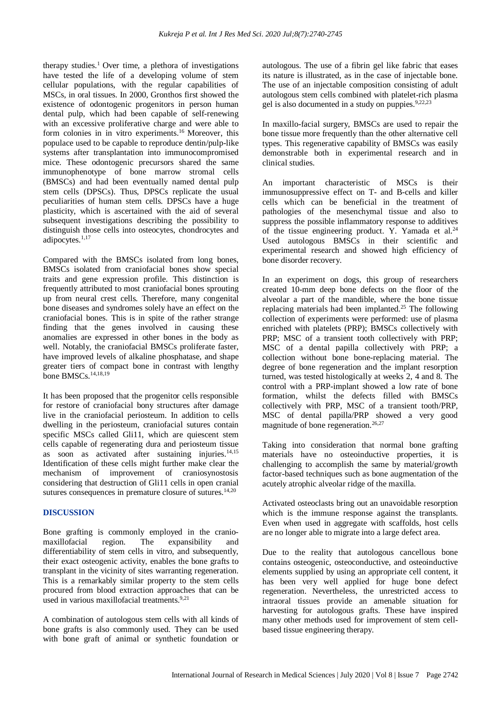therapy studies.<sup>1</sup> Over time, a plethora of investigations have tested the life of a developing volume of stem cellular populations, with the regular capabilities of MSCs, in oral tissues. In 2000, Gronthos first showed the existence of odontogenic progenitors in person human dental pulp, which had been capable of self-renewing with an excessive proliferative charge and were able to form colonies in in vitro experiments.<sup>16</sup> Moreover, this populace used to be capable to reproduce dentin/pulp-like systems after transplantation into immunocompromised mice. These odontogenic precursors shared the same immunophenotype of bone marrow stromal cells (BMSCs) and had been eventually named dental pulp stem cells (DPSCs). Thus, DPSCs replicate the usual peculiarities of human stem cells. DPSCs have a huge plasticity, which is ascertained with the aid of several subsequent investigations describing the possibility to distinguish those cells into osteocytes, chondrocytes and adipocytes.<sup>1,17</sup>

Compared with the BMSCs isolated from long bones, BMSCs isolated from craniofacial bones show special traits and gene expression profile. This distinction is frequently attributed to most craniofacial bones sprouting up from neural crest cells. Therefore, many congenital bone diseases and syndromes solely have an effect on the craniofacial bones. This is in spite of the rather strange finding that the genes involved in causing these anomalies are expressed in other bones in the body as well. Notably, the craniofacial BMSCs proliferate faster, have improved levels of alkaline phosphatase, and shape greater tiers of compact bone in contrast with lengthy bone BMSCs.<sup>14,18,19</sup>

It has been proposed that the progenitor cells responsible for restore of craniofacial bony structures after damage live in the craniofacial periosteum. In addition to cells dwelling in the periosteum, craniofacial sutures contain specific MSCs called Gli11, which are quiescent stem cells capable of regenerating dura and periosteum tissue as soon as activated after sustaining injuries. $14,15$ Identification of these cells might further make clear the mechanism of improvement of craniosynostosis considering that destruction of Gli11 cells in open cranial sutures consequences in premature closure of sutures.<sup>14,20</sup>

# **DISCUSSION**

Bone grafting is commonly employed in the craniomaxillofacial region. The expansibility and differentiability of stem cells in vitro, and subsequently, their exact osteogenic activity, enables the bone grafts to transplant in the vicinity of sites warranting regeneration. This is a remarkably similar property to the stem cells procured from blood extraction approaches that can be used in various maxillofacial treatments.<sup>9,21</sup>

A combination of autologous stem cells with all kinds of bone grafts is also commonly used. They can be used with bone graft of animal or synthetic foundation or autologous. The use of a fibrin gel like fabric that eases its nature is illustrated, as in the case of injectable bone. The use of an injectable composition consisting of adult autologous stem cells combined with platelet-rich plasma gel is also documented in a study on puppies.<sup>9,22,23</sup>

In maxillo-facial surgery, BMSCs are used to repair the bone tissue more frequently than the other alternative cell types. This regenerative capability of BMSCs was easily demonstrable both in experimental research and in clinical studies.

An important characteristic of MSCs is their immunosuppressive effect on T- and B-cells and killer cells which can be beneficial in the treatment of pathologies of the mesenchymal tissue and also to suppress the possible inflammatory response to additives of the tissue engineering product. Y. Yamada et al.<sup>24</sup> Used autologous BMSCs in their scientific and experimental research and showed high efficiency of bone disorder recovery.

In an experiment on dogs, this group of researchers created 10-mm deep bone defects on the floor of the alveolar a part of the mandible, where the bone tissue replacing materials had been implanted.<sup>25</sup> The following collection of experiments were performed: use of plasma enriched with platelets (PRP); BMSCs collectively with PRP; MSC of a transient tooth collectively with PRP; MSC of a dental papilla collectively with PRP; a collection without bone bone-replacing material. The degree of bone regeneration and the implant resorption turned, was tested histologically at weeks 2, 4 and 8. The control with a PRP-implant showed a low rate of bone formation, whilst the defects filled with BMSCs collectively with PRP, MSC of a transient tooth/PRP, MSC of dental papilla/PRP showed a very good magnitude of bone regeneration.<sup>26,27</sup>

Taking into consideration that normal bone grafting materials have no osteoinductive properties, it is challenging to accomplish the same by material/growth factor-based techniques such as bone augmentation of the acutely atrophic alveolar ridge of the maxilla.

Activated osteoclasts bring out an unavoidable resorption which is the immune response against the transplants. Even when used in aggregate with scaffolds, host cells are no longer able to migrate into a large defect area.

Due to the reality that autologous cancellous bone contains osteogenic, osteoconductive, and osteoinductive elements supplied by using an appropriate cell content, it has been very well applied for huge bone defect regeneration. Nevertheless, the unrestricted access to intraoral tissues provide an amenable situation for harvesting for autologous grafts. These have inspired many other methods used for improvement of stem cellbased tissue engineering therapy.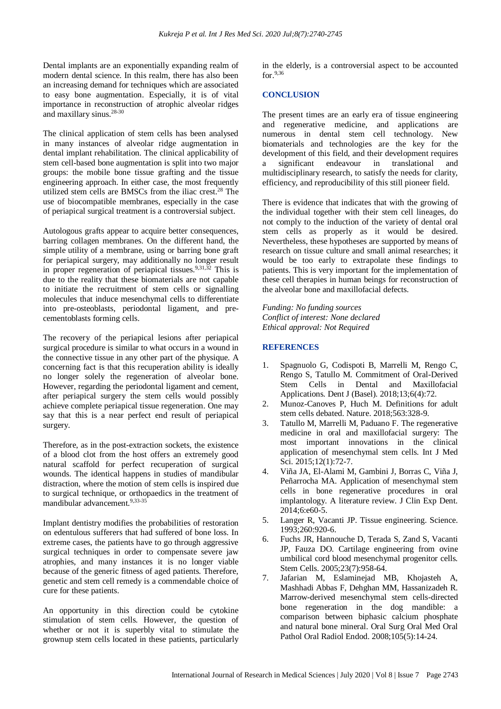Dental implants are an exponentially expanding realm of modern dental science. In this realm, there has also been an increasing demand for techniques which are associated to easy bone augmentation. Especially, it is of vital importance in reconstruction of atrophic alveolar ridges and maxillary sinus.28-30

The clinical application of stem cells has been analysed in many instances of alveolar ridge augmentation in dental implant rehabilitation. The clinical applicability of stem cell-based bone augmentation is split into two major groups: the mobile bone tissue grafting and the tissue engineering approach. In either case, the most frequently utilized stem cells are BMSCs from the iliac crest.<sup>28</sup> The use of biocompatible membranes, especially in the case of periapical surgical treatment is a controversial subject.

Autologous grafts appear to acquire better consequences, barring collagen membranes. On the different hand, the simple utility of a membrane, using or barring bone graft for periapical surgery, may additionally no longer result in proper regeneration of periapical tissues.9,31,32 This is due to the reality that these biomaterials are not capable to initiate the recruitment of stem cells or signalling molecules that induce mesenchymal cells to differentiate into pre-osteoblasts, periodontal ligament, and precementoblasts forming cells.

The recovery of the periapical lesions after periapical surgical procedure is similar to what occurs in a wound in the connective tissue in any other part of the physique. A concerning fact is that this recuperation ability is ideally no longer solely the regeneration of alveolar bone. However, regarding the periodontal ligament and cement, after periapical surgery the stem cells would possibly achieve complete periapical tissue regeneration. One may say that this is a near perfect end result of periapical surgery.

Therefore, as in the post-extraction sockets, the existence of a blood clot from the host offers an extremely good natural scaffold for perfect recuperation of surgical wounds. The identical happens in studies of mandibular distraction, where the motion of stem cells is inspired due to surgical technique, or orthopaedics in the treatment of mandibular advancement.9,33-35

Implant dentistry modifies the probabilities of restoration on edentulous sufferers that had suffered of bone loss. In extreme cases, the patients have to go through aggressive surgical techniques in order to compensate severe jaw atrophies, and many instances it is no longer viable because of the generic fitness of aged patients. Therefore, genetic and stem cell remedy is a commendable choice of cure for these patients.

An opportunity in this direction could be cytokine stimulation of stem cells. However, the question of whether or not it is superbly vital to stimulate the grownup stem cells located in these patients, particularly in the elderly, is a controversial aspect to be accounted for.9,36

# **CONCLUSION**

The present times are an early era of tissue engineering and regenerative medicine, and applications are numerous in dental stem cell technology. New biomaterials and technologies are the key for the development of this field, and their development requires a significant endeavour in translational and multidisciplinary research, to satisfy the needs for clarity, efficiency, and reproducibility of this still pioneer field.

There is evidence that indicates that with the growing of the individual together with their stem cell lineages, do not comply to the induction of the variety of dental oral stem cells as properly as it would be desired. Nevertheless, these hypotheses are supported by means of research on tissue culture and small animal researches; it would be too early to extrapolate these findings to patients. This is very important for the implementation of these cell therapies in human beings for reconstruction of the alveolar bone and maxillofacial defects.

*Funding: No funding sources Conflict of interest: None declared Ethical approval: Not Required*

# **REFERENCES**

- 1. Spagnuolo G, Codispoti B, Marrelli M, Rengo C, Rengo S, Tatullo M. Commitment of Oral-Derived Stem Cells in Dental and Maxillofacial Applications. Dent J (Basel). 2018;13;6(4):72.
- 2. Munoz-Canoves P, Huch M. Definitions for adult stem cells debated. Nature. 2018;563:328-9.
- 3. Tatullo M, Marrelli M, Paduano F. The regenerative medicine in oral and maxillofacial surgery: The most important innovations in the clinical application of mesenchymal stem cells. Int J Med Sci. 2015;12(1):72-7.
- 4. Viña JA, El-Alami M, Gambini J, Borras C, Viña J, Peñarrocha MA. Application of mesenchymal stem cells in bone regenerative procedures in oral implantology. A literature review. J Clin Exp Dent. 2014;6:e60-5.
- 5. Langer R, Vacanti JP. Tissue engineering. Science. 1993;260:920-6.
- 6. Fuchs JR, Hannouche D, Terada S, Zand S, Vacanti JP, Fauza DO. Cartilage engineering from ovine umbilical cord blood mesenchymal progenitor cells. Stem Cells. 2005;23(7):958-64.
- 7. Jafarian M, Eslaminejad MB, Khojasteh A, Mashhadi Abbas F, Dehghan MM, Hassanizadeh R. Marrow-derived mesenchymal stem cells-directed bone regeneration in the dog mandible: a comparison between biphasic calcium phosphate and natural bone mineral. Oral Surg Oral Med Oral Pathol Oral Radiol Endod. 2008;105(5):14-24.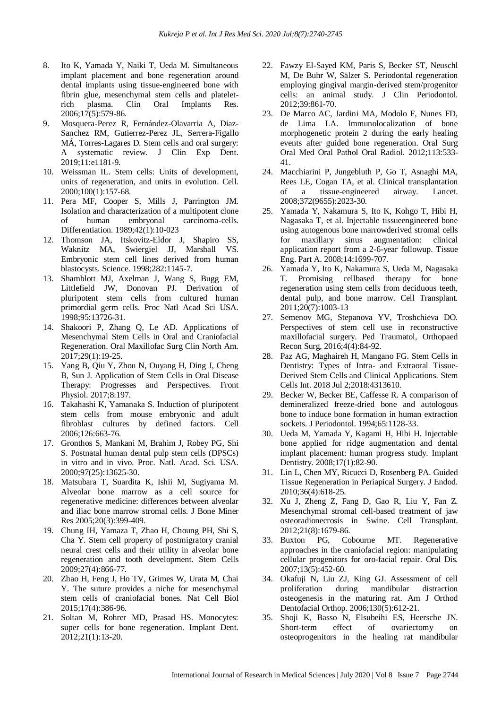- 8. Ito K, Yamada Y, Naiki T, Ueda M. Simultaneous implant placement and bone regeneration around dental implants using tissue-engineered bone with fibrin glue, mesenchymal stem cells and platelet-<br>rich plasma. Clin Oral Implants Res. rich plasma. Clin Oral Implants Res. 2006;17(5):579-86.
- 9. Mosquera-Perez R, Fernández-Olavarria A, Diaz-Sanchez RM, Gutierrez-Perez JL, Serrera-Figallo MÁ, Torres-Lagares D. Stem cells and oral surgery: A systematic review. J Clin Exp Dent. 2019;11:e1181-9.
- 10. Weissman IL. Stem cells: Units of development, units of regeneration, and units in evolution. Cell. 2000;100(1):157-68.
- 11. Pera MF, Cooper S, Mills J, Parrington JM. Isolation and characterization of a multipotent clone of human embryonal carcinoma-cells. Differentiation. 1989;42(1):10-023
- 12. Thomson JA, Itskovitz-Eldor J, Shapiro SS, Waknitz MA, Swiergiel JJ, Marshall VS. Embryonic stem cell lines derived from human blastocysts. Science. 1998;282:1145-7.
- 13. Shamblott MJ, Axelman J, Wang S, Bugg EM, Littlefield JW, Donovan PJ. Derivation of pluripotent stem cells from cultured human primordial germ cells. Proc Natl Acad Sci USA. 1998;95:13726-31.
- 14. Shakoori P, Zhang Q, Le AD. Applications of Mesenchymal Stem Cells in Oral and Craniofacial Regeneration. Oral Maxillofac Surg Clin North Am. 2017;29(1):19-25.
- 15. Yang B, Qiu Y, Zhou N, Ouyang H, Ding J, Cheng B, Sun J. Application of Stem Cells in Oral Disease Therapy: Progresses and Perspectives. Front Physiol. 2017;8:197.
- 16. Takahashi K, Yamanaka S. Induction of pluripotent stem cells from mouse embryonic and adult fibroblast cultures by defined factors. Cell 2006;126:663-76.
- 17. Gronthos S, Mankani M, Brahim J, Robey PG, Shi S. Postnatal human dental pulp stem cells (DPSCs) in vitro and in vivo. Proc. Natl. Acad. Sci. USA. 2000;97(25):13625-30.
- 18. Matsubara T, Suardita K, Ishii M, Sugiyama M. Alveolar bone marrow as a cell source for regenerative medicine: differences between alveolar and iliac bone marrow stromal cells. J Bone Miner Res 2005;20(3):399-409.
- 19. Chung IH, Yamaza T, Zhao H, Choung PH, Shi S, Cha Y. Stem cell property of postmigratory cranial neural crest cells and their utility in alveolar bone regeneration and tooth development. Stem Cells 2009;27(4):866-77.
- 20. Zhao H, Feng J, Ho TV, Grimes W, Urata M, Chai Y. The suture provides a niche for mesenchymal stem cells of craniofacial bones. Nat Cell Biol 2015;17(4):386-96.
- 21. Soltan M, Rohrer MD, Prasad HS. Monocytes: super cells for bone regeneration. Implant Dent. 2012;21(1):13-20.
- 22. Fawzy El-Sayed KM, Paris S, Becker ST, Neuschl M, De Buhr W, Sälzer S. Periodontal regeneration employing gingival margin-derived stem/progenitor cells: an animal study. J Clin Periodontol. 2012;39:861-70.
- 23. De Marco AC, Jardini MA, Modolo F, Nunes FD, de Lima LA. Immunolocalization of bone morphogenetic protein 2 during the early healing events after guided bone regeneration. Oral Surg Oral Med Oral Pathol Oral Radiol. 2012;113:533- 41.
- 24. Macchiarini P, Jungebluth P, Go T, Asnaghi MA, Rees LE, Cogan TA, et al. Clinical transplantation of a tissue-engineered airway. Lancet. 2008;372(9655):2023-30.
- 25. Yamada Y, Nakamura S, Ito K, Kohgo T, Hibi H, Nagasaka T, et al. Injectable tissueengineered bone using autogenous bone marrowderived stromal cells for maxillary sinus augmentation: clinical application report from a 2-6-year followup. Tissue Eng. Part A. 2008;14:1699-707.
- 26. Yamada Y, Ito K, Nakamura S, Ueda M, Nagasaka T. Promising cellbased therapy for bone regeneration using stem cells from deciduous teeth, dental pulp, and bone marrow. Cell Transplant. 2011;20(7):1003-13
- 27. Semenov MG, Stepanova YV, Troshchieva DO. Perspectives of stem cell use in reconstructive maxillofacial surgery. Ped Traumatol, Orthopaed Recon Surg, 2016;4(4):84-92.
- 28. Paz AG, Maghaireh H, Mangano FG. Stem Cells in Dentistry: Types of Intra- and Extraoral Tissue-Derived Stem Cells and Clinical Applications. Stem Cells Int. 2018 Jul 2;2018:4313610.
- 29. Becker W, Becker BE, Caffesse R. A comparison of demineralized freeze-dried bone and autologous bone to induce bone formation in human extraction sockets. J Periodontol. 1994;65:1128-33.
- 30. Ueda M, Yamada Y, Kagami H, Hibi H. Injectable bone applied for ridge augmentation and dental implant placement: human progress study. Implant Dentistry. 2008;17(1):82-90.
- 31. Lin L, Chen MY, Ricucci D, Rosenberg PA. Guided Tissue Regeneration in Periapical Surgery. J Endod. 2010;36(4):618-25.
- 32. Xu J, Zheng Z, Fang D, Gao R, Liu Y, Fan Z. Mesenchymal stromal cell-based treatment of jaw osteoradionecrosis in Swine. Cell Transplant. 2012;21(8):1679-86.
- 33. Buxton PG, Cobourne MT. Regenerative approaches in the craniofacial region: manipulating cellular progenitors for oro-facial repair. Oral Dis. 2007;13(5):452-60.
- 34. Okafuji N, Liu ZJ, King GJ. Assessment of cell proliferation during mandibular distraction osteogenesis in the maturing rat. Am J Orthod Dentofacial Orthop. 2006;130(5):612-21.
- 35. Shoji K, Basso N, Elsubeihi ES, Heersche JN. Short-term effect of ovariectomy on osteoprogenitors in the healing rat mandibular